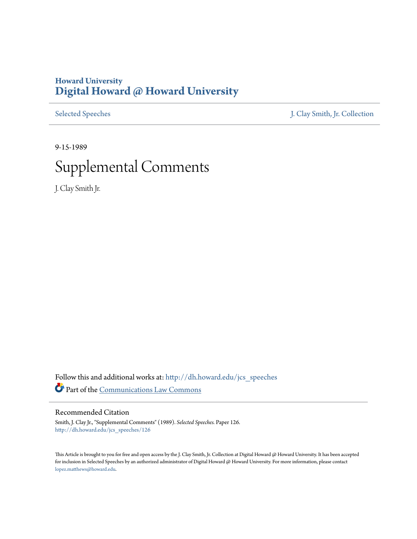# **Howard University [Digital Howard @ Howard University](http://dh.howard.edu?utm_source=dh.howard.edu%2Fjcs_speeches%2F126&utm_medium=PDF&utm_campaign=PDFCoverPages)**

[Selected Speeches](http://dh.howard.edu/jcs_speeches?utm_source=dh.howard.edu%2Fjcs_speeches%2F126&utm_medium=PDF&utm_campaign=PDFCoverPages) [J. Clay Smith, Jr. Collection](http://dh.howard.edu/jcsmith?utm_source=dh.howard.edu%2Fjcs_speeches%2F126&utm_medium=PDF&utm_campaign=PDFCoverPages)

9-15-1989

# Supplemental Comments

J. Clay Smith Jr.

Follow this and additional works at: [http://dh.howard.edu/jcs\\_speeches](http://dh.howard.edu/jcs_speeches?utm_source=dh.howard.edu%2Fjcs_speeches%2F126&utm_medium=PDF&utm_campaign=PDFCoverPages) Part of the [Communications Law Commons](http://network.bepress.com/hgg/discipline/587?utm_source=dh.howard.edu%2Fjcs_speeches%2F126&utm_medium=PDF&utm_campaign=PDFCoverPages)

### Recommended Citation

Smith, J. Clay Jr., "Supplemental Comments" (1989). *Selected Speeches.* Paper 126. [http://dh.howard.edu/jcs\\_speeches/126](http://dh.howard.edu/jcs_speeches/126?utm_source=dh.howard.edu%2Fjcs_speeches%2F126&utm_medium=PDF&utm_campaign=PDFCoverPages)

This Article is brought to you for free and open access by the J. Clay Smith, Jr. Collection at Digital Howard @ Howard University. It has been accepted for inclusion in Selected Speeches by an authorized administrator of Digital Howard @ Howard University. For more information, please contact [lopez.matthews@howard.edu.](mailto:lopez.matthews@howard.edu)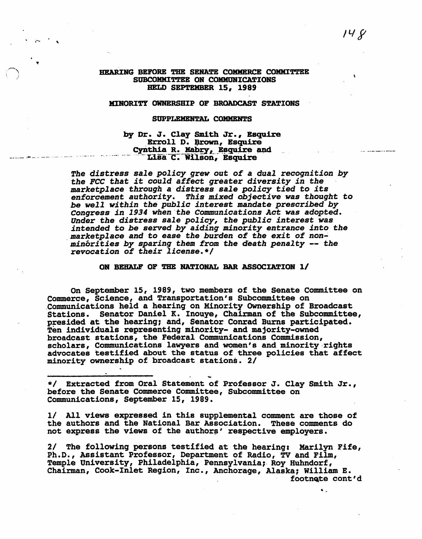### HEARING BEFORE THE SENATE COMMERCE COMMITTEE SUBCOMMITTEE ON COMMUNICATIONS HELD SEPTEMBER 15. 1989

### MINORITY OWNERSHIP OF BROADCAST STATIONS

### SUPPLEMENTAL COMMENTS

## by Dr. J. Clay Smith Jr., Esquire<br>Erroll D. Brown, Esquire Cynthia R. Mabry, Esquire and Lisa C. Wilson, Esquire

The distress sale policy grew out of a dual recognition by the FCC that it could affect greater diversity in the marketplace through a distress sale policy tied to its enforcement authority. This mixed objective was thought to be well within the public interest mandate prescribed by Congress in 1934 when the Communications Act was adopted. Under the distress sale policy, the public interest was<br>intended to be served by aiding minority entrance into the marketplace and to ease the burden of the exit of nonminórities by sparing them from the death penalty -- the revocation of their license.\*/

### ON BEHALF OF THE NATIONAL BAR ASSOCIATION 1/

On September 15, 1989, two members of the Senate Committee on Commerce, Science, and Transportation's Subcommittee on Communications held a hearing on Minority Ownership of Broadcast Stations. Senator Daniel K. Inouye, Chairman of the Subcommittee, presided at the hearing; and, Senator Conrad Burns participated. Ten individuals representing minority- and majority-owned broadcast stations, the Federal Communications Commission, scholars, Communications lawyers and women's and minority rights advocates testified about the status of three policies that affect minority ownership of broadcast stations. 2/

\*/ Extracted from Oral Statement of Professor J. Clay Smith Jr., before the Senate Commerce Committee, Subcommittee on Communications, September 15, 1989.

1/ All views expressed in this supplemental comment are those of the authors and the National Bar Association. These comments do not express the views of the authors' respective employers.

2/ The following persons testified at the hearing: Marilyn Fife, Ph.D., Assistant Professor, Department of Radio, TV and Film, Temple University, Philadelphia, Pennsylvania; Roy Huhndorf, Chairman, Cook-Inlet Region, Inc., Anchorage, Alaska; William E. footnete cont'd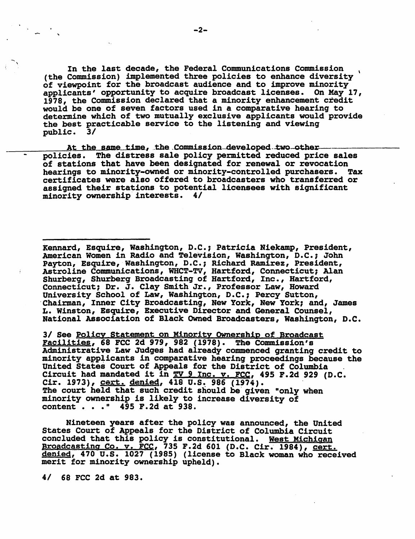In the last decade, the Federal Communications Commission<br>(the Commission) implemented three policies to enhance diversity of viewpoint for the broadcast audience and to improve minority applicants' opportunity to acquire broadcast licenses. On May 17, 1978, the Commission declared that a minority enhancement credit would be one of seven factors used in a comparative hearing to determine which of two mutually exclusive applicants would provide the best practicable service to the listening and viewing public. 3/

At the same time, the Commission-developed two-otherpolicies. The distress sale policy permitted reduced price sales of stations that have been designated for renewal or revocation<br>hearings to minority-owned or minority-controlled purchasers. Tax hearings to minority-owned or minority-controlled purchasers. certificates were also offered to broadcasters who transferred or assigned their stations to potential licensees with significant minority ownership' interests. 4/

Kennard, Esquire, Washington, D.C.; Patricia Niekamp, President, American Women in Radio and Television, Washington, D.C., John Payton, Esquire, Washington, D.C.; Richard Ramirez, President, Astroline Communications, WHCT-TV, Hartford, Connecticut, Alan Shurberg, Shurberg Broadcasting of Hartford, Inc., Hartford, Connecticut; Dr. J. Clay Smith Jr., Professor Law, Howard University School of Law, Washington, D.C.; Percy Sutton, Chairman, Inner City Broadcasting, New York, New York; and, James L. Winston, Esquire, Executive Director and General Counsel, National Association of Black Owned Broadcasters, Washington, D.C.

3/ See Policy Statement on M1nority OWnership of Broadcast Facilities, 68 PCC 2d 979, 982 (1978). The Commission's Administrative Law Judges had already commenced granting credit to minority applicants in comparative hearing proceedings because the United States Court of Appeals for the District of Columbia Circuit had mandated it in TV 9 Inc. v. FCC, 495 F.2d 929 (D.C. Cir. 1973), cert. denied, 418 U.S. 986 (1974). The court held that such credit should be given "only when minority ownership is likely to increase diversity of content . . . " 495 F.2d at 938.

Nineteen years after the policy was announced, the United States Court of Appeals for the District of Columbia Circuit concluded that this policy is constitutional. West Michigan Broadcasting Co. v. FCC, 735 F.2d 601 (D.C. Cir. 1984), cert. denied, 470 U.S. 1027 (1985) (license to Black woman who received merit for minority ownership upheld).

4/ 68 FCC 2d at 983.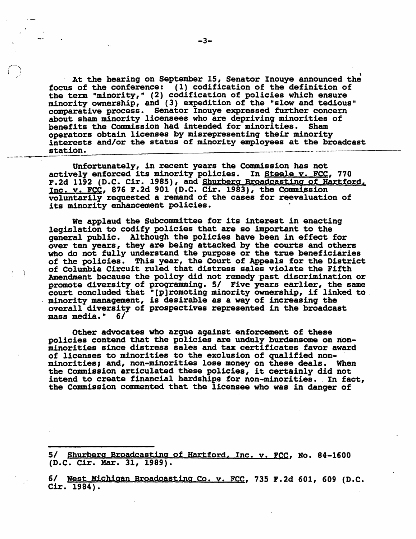At the hearing on September 15, Senator Inouye announced the focus of the conference: (1) codification of the definition of the term "minority," (2) codification of policies which ensure minority ownership, and (3) expedition of the "slow and tedious" comparative process •. Senator Inouye expressed further concern about sham minority licensees who are depriving minorities of benefits the Commission had intended for minorities. Sham benefits the Commission had intended for minorities. operators obtain licenses by misrepresenting their minority interests and/or the status of minority employees at the broadcast station. interests and/or the status of minority employees at the broadcast

Unfortunately, in recent years the Commission has not actively enforced its minority policies. In Steele v. FCC, 770 F.2d 1192 (D.C. Cir. 1985), and Shurberg Broadcasting of Hartford, Inc. v. FCC, 876 F.2d 901 (D.C. Cir. 1983), the Commission voluntarily requested a remand of the cases for reevaluation of its minority enhancement policies.

We applaud the Subcommittee for its interest in enacting legislation to codify policies that are so important to the general public. Although the policies have been in effect for over ten years, they are being attacked by the' courts and others who do not fully understand the purpose or the true beneficiaries of the policies. This year, the Court of Appeals for the District of Columbia Circuit ruled that distress sales violate the Fifth Amendment because the policy did not remedy past discrimination or promote diversity of programming. 5/ Five years earlier, the same court concluded that " [p]romoting minority ownership, if linked to minority management, is desirable as a way of increasing the overall diversity of prospectives represented in the broadcast mass media." 6/

Other advocates who argue against enforcement of these policies contend that the policies are unduly burdensome on nonminorities since distress sales and tax certificates favor award of licenses to minorities to the exclusion of qualified nonminorities, and, non-minorities lose money on these deals. When the Commission articulated these policies, it certainly did not intend to create financial hardships for non-minorities •. In fact, the Commission commented that the licensee who was in danger of

5/ Shurberg Broadcasting of Hartford, Inc. v. FCC, No. 84-1600 (D.C. Cir. Har. 31, 1989).

6/ West Michigan Broadcasting Co. v. FCC, 735 F.2d 601, 609 (D.C. Cir. 1984).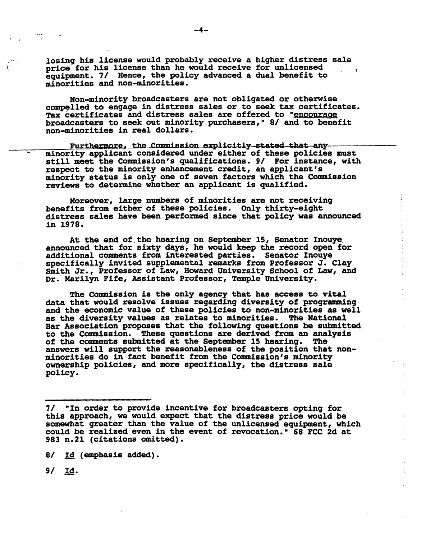losing his license would probably receive a higher distress sale price for his license than he would receive for unlicensed equipment. 7/ Bence, the policy advanced a dual benefit to minorities and non-minorities.

Non-minority broadcasters are not obligated or otherwise compelled to engage in distress sales or to seek tax certificates. Tax certificates and distress sales are offered to "encourage broadcasters to seek out minority purchasers," 8/ and to benefit non-minorities in real dollars.

Furthermore, the Commission explicitly stated that any minority applicant considered under either of these policies must still meet the Commission's qualifications. 9/ For instance, with respect to the minority enhancement credit, an applicant's minority status is only one of seven factors which the Commission minority status is only one of seven factors which the Commission reviews to determine whether an applicant is qualified.

Moreover, large numbers of minorities are not receiving<br>benefits from either of these policies. Only thirty-eight<br>distress sales have been performed since that policy was announced in 1978.

At the end of. the hearing on September 15, Senator Inouye. announced that for sixty days, he would keep the record open for additional comments from interested parties. Senator Inouye<br>specifically invited supplemental remarks from Professor J. Clay Smith Jr., Professor of Law, Howard University School of Law, and Dr. Marilyn Fife, Assistant Professor, Temple University.

医大量不全不安 医消毒医胃

The Commission is the only agency that has access to vital<br>data that would resolve issues regarding diversity of programming and the economic value of these policies to non-minorities as well as the diversity values as relates to minorities. The National Bar Association proposes that the following questions be submitted to the Commission. These questions are derived from an analysis of the comments submitted at the September 15 hearing. The answers will support the reasonableness of the position that nonminorities do in fact benefit from the Commission's minority ownership policies, and more specifically, the distress sale policy.

8/ Id (emphasis added).

*91* Id.

<sup>7/ &</sup>quot;In order to provide incentive for broadcasters opting for this approach, we would expect that the distress price would be somewhat greater than the value of the unlicensed equipment, which could be realized even in the event of revocation." 68 FCC 2d at 983 n.21 (citations omitted).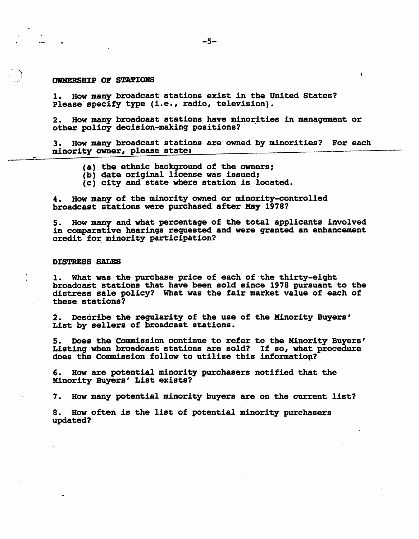#### OWNERSHIP OF STATIONS

 $\ddot{\phantom{0}}$ 1

> 1. How many broadcast stations exist in the United States? Please'specify type (i.e., radio, television).

2. How many broadcast stations have minorities in management or other policy decision-making positions?

---- 3. How many broadcast stations are owned by minorities? For each minority owner, please state:

- $(a)$  the ethnic background of the owners;
- (b) date original license was issued;
- (c) city and state where station is located.

4. How many of the minority owned or minority-controlled broadcast stations were purchased after May 1978?

S. How many and what percentage of the total applicants involved in comparative hearings requested and were granted an enhancement credit for minority participation?

### DISTRESS SALES

1. What was the purchase price of each of the thirty-eight broadcast stations that have been sold since 1978 pursuant to the distress sale policy? What was the fair market value of each of these stations?

2. Describe the regularity of the use of the Minority Buyers' List by sellers of broadcast stations.

5. Does the Commission continue to refer to the Minority Buyers'<br>Listing when broadcast stations are sold? If so, what procedure<br>does the Commission follow to utilize this information?

6. How are potential minority purchasers notified that the Minority Buyers' List exists?

7. How many potential minority buyers are on the current list?

8. How often is the list of potential minority purchasers updated?